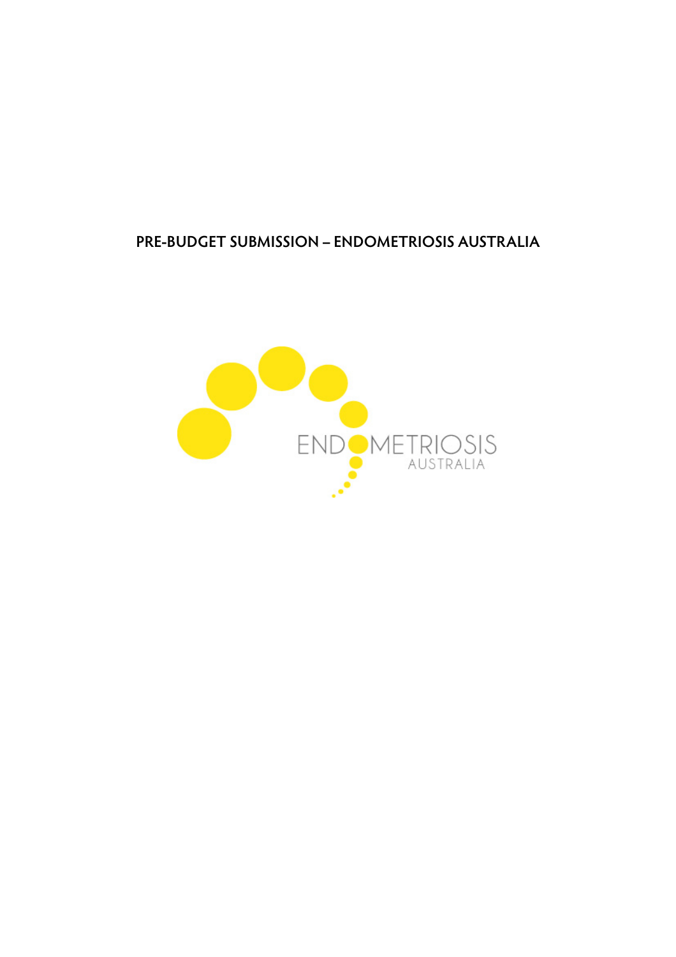# **PRE-BUDGET SUBMISSION – ENDOMETRIOSIS AUSTRALIA**

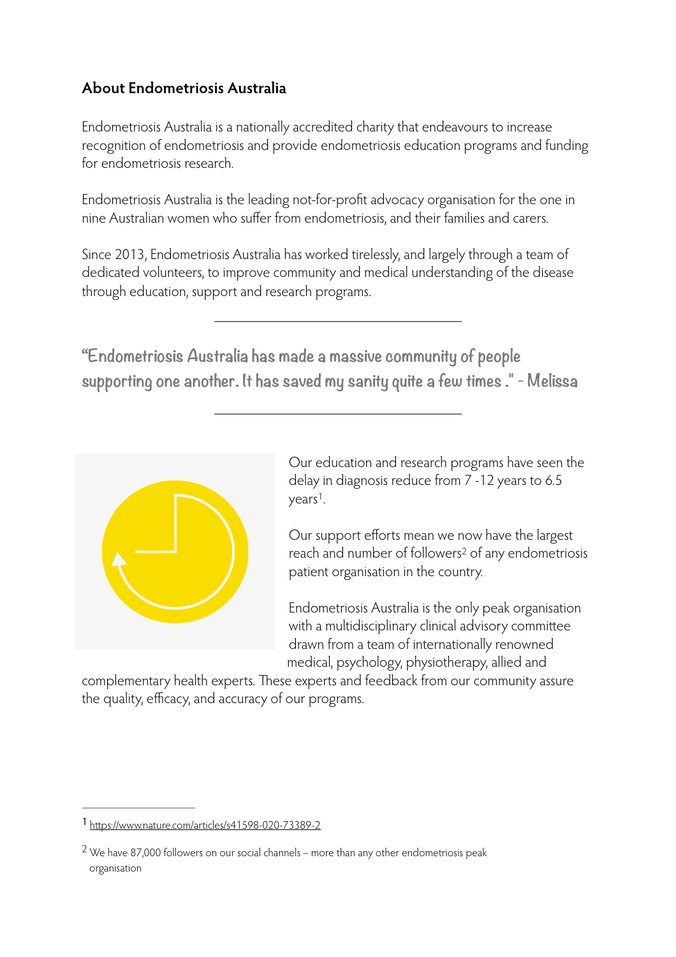# **About Endometriosis Australia**

Endometriosis Australia is a nationally accredited charity that endeavours to increase recognition of endometriosis and provide endometriosis education programs and funding for endometriosis research.

Endometriosis Australia is the leading not-for-profit advocacy organisation for the one in nine Australian women who suffer from endometriosis, and their families and carers.

Since 2013, Endometriosis Australia has worked tirelessly, and largely through a team of dedicated volunteers, to improve community and medical understanding of the disease through education, support and research programs.

**"Endometriosis Australia has made a massive community of people supporting one another. It has saved my sanity quite a few times ." - Melissa**



Our education and research programs have seen the delay in diagnosis reduce from 7 -12 years to 6.5  $years<sup>1</sup>$  $years<sup>1</sup>$  $years<sup>1</sup>$ .

<span id="page-1-3"></span><span id="page-1-2"></span>Our support efforts mean we now have the largest reach and number of followers<sup>[2](#page-1-1)</sup> of any endometriosis patient organisation in the country.

Endometriosis Australia is the only peak organisation with a multidisciplinary clinical advisory committee drawn from a team of internationally renowned medical, psychology, physiotherapy, allied and

complementary health experts. These experts and feedback from our community assure the quality, efficacy, and accuracy of our programs.

<span id="page-1-0"></span>htt[ps://www.nature.com/articles/s41598-020-73389-2](https://www.nature.com/articles/s41598-020-73389-2) [1](#page-1-2)

<span id="page-1-1"></span> $2$ We have 87,000 followers on our social channels – more than any other endometriosis peak organisation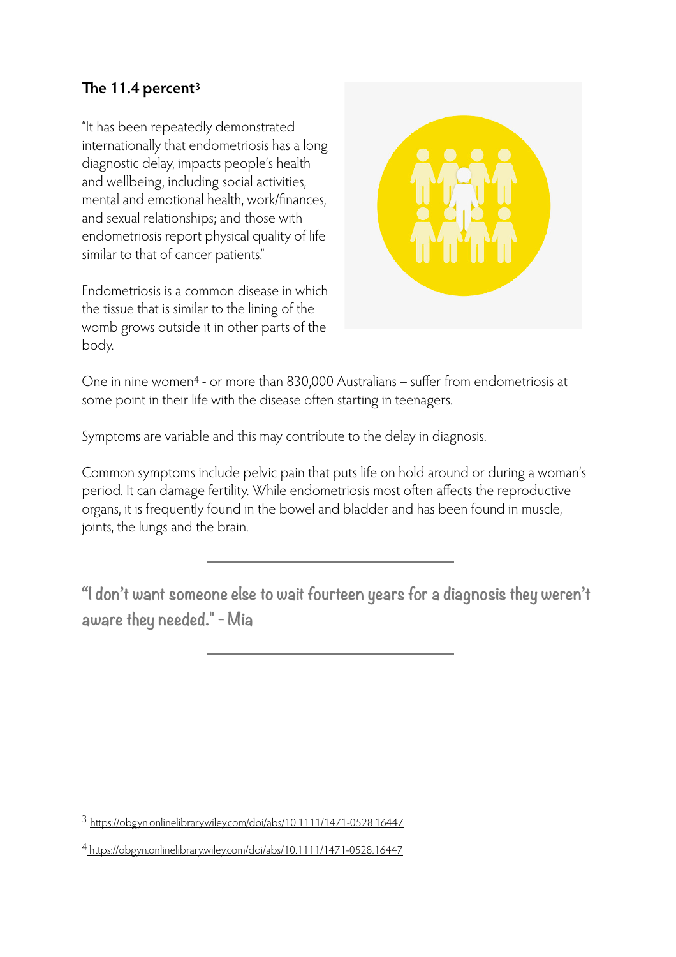## <span id="page-2-2"></span>**The 11.4 percent[3](#page-2-0)**

"It has been repeatedly demonstrated internationally that endometriosis has a long diagnostic delay, impacts people's health and wellbeing, including social activities, mental and emotional health, work/finances, and sexual relationships; and those with endometriosis report physical quality of life similar to that of cancer patients."

Endometriosis is a common disease in which the tissue that is similar to the lining of the womb grows outside it in other parts of the body.



<span id="page-2-3"></span>One in nine women<sup>4</sup> - or more than 830,000 Australians – suffer from endometriosis at some point in their life with the disease often starting in teenagers.

Symptoms are variable and this may contribute to the delay in diagnosis.

Common symptoms include pelvic pain that puts life on hold around or during a woman's period. It can damage fertility. While endometriosis most often affects the reproductive organs, it is frequently found in the bowel and bladder and has been found in muscle, joints, the lungs and the brain.

**"I don't want someone else to wait fourteen years for a diagnosis they weren't aware they needed." - Mia**

<span id="page-2-0"></span>htt[ps://obgyn.onlinelibrary.wiley.com/doi/abs/10.1111/1471-0528.16447](https://obgyn.onlinelibrary.wiley.com/doi/abs/10.1111/1471-0528.16447) [3](#page-2-2)

<span id="page-2-1"></span>https://obgyn.onlinelibrary.wiley.com/doi/abs/10.1111/1471-0528.16447 [4](#page-2-3)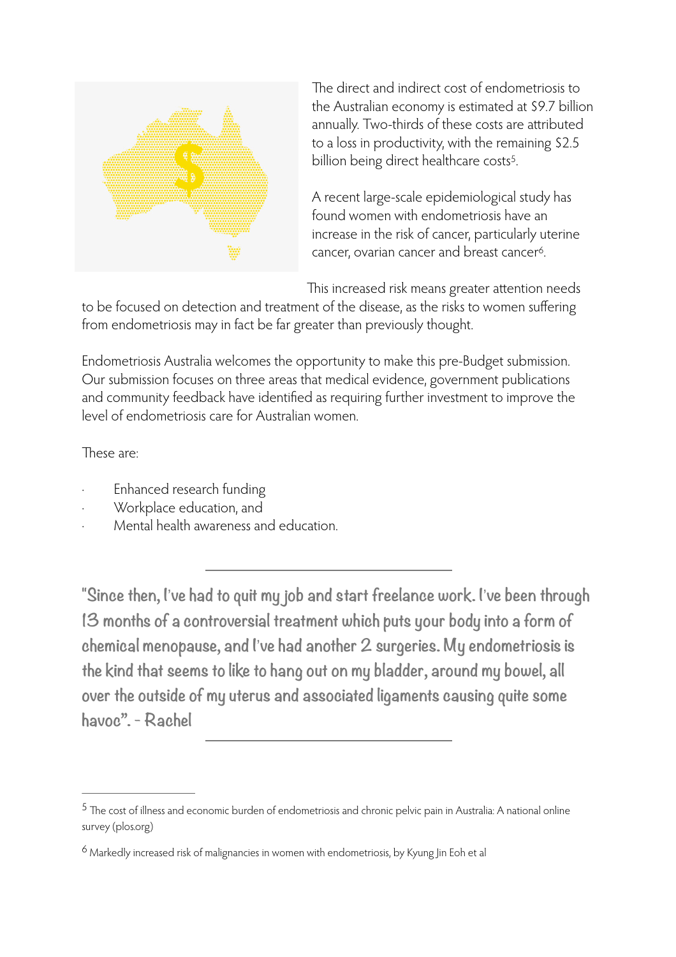

The direct and indirect cost of endometriosis to the Australian economy is estimated at \$9.7 billion annually. Two-thirds of these costs are attributed to a loss in productivity, with the remaining \$2.5 billion being direct healthcare costs<sup>[5](#page-3-0)</sup>.

<span id="page-3-3"></span><span id="page-3-2"></span>A recent large-scale epidemiological study has found women with endometriosis have an increase in the risk of cancer, particularly uterine cancer, ovarian cancer and breast cancer<sup>[6](#page-3-1)</sup>.

This increased risk means greater attention needs

to be focused on detection and treatment of the disease, as the risks to women suffering from endometriosis may in fact be far greater than previously thought.

Endometriosis Australia welcomes the opportunity to make this pre-Budget submission. Our submission focuses on three areas that medical evidence, government publications and community feedback have identified as requiring further investment to improve the level of endometriosis care for Australian women.

These are:

- Enhanced research funding
- Workplace education, and
- Mental health awareness and education.

**"Since then, I**!**ve had to quit my job and start freelance work. I**!**ve been through 13 months of a controversial treatment which puts your body into a form of chemical menopause, and I**!**ve had another 2 surgeries. My endometriosis is the kind that seems to like to hang out on my bladder, around my bowel, all over the outside of my uterus and associated ligaments causing quite some havoc". - Rachel**

<span id="page-3-0"></span>The cost of illness and economic burden of endometriosis and chronic pelvic pain in Australia: A national online [5](#page-3-2) survey (plos.org)

<span id="page-3-1"></span> $6$  Markedly increased risk of malignancies in women with endometriosis, by Kyung Jin Eoh et al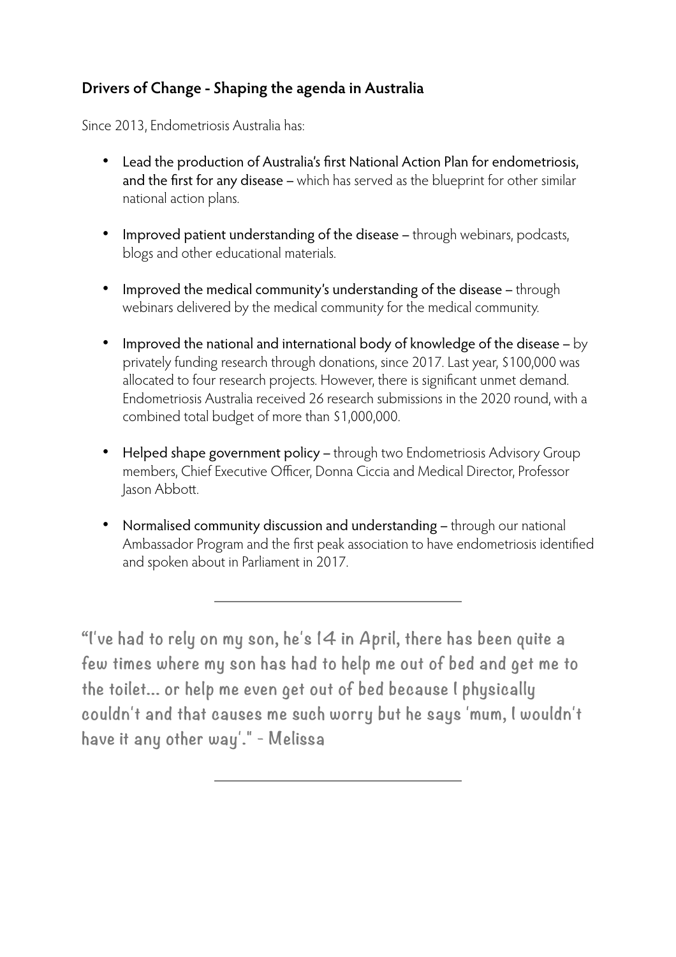# **Drivers of Change - Shaping the agenda in Australia**

Since 2013, Endometriosis Australia has:

- Lead the production of Australia's first National Action Plan for endometriosis, and the first for any disease – which has served as the blueprint for other similar national action plans.
- Improved patient understanding of the disease through webinars, podcasts, blogs and other educational materials.
- Improved the medical community's understanding of the disease through webinars delivered by the medical community for the medical community.
- Improved the national and international body of knowledge of the disease by privately funding research through donations, since 2017. Last year, \$100,000 was allocated to four research projects. However, there is significant unmet demand. Endometriosis Australia received 26 research submissions in the 2020 round, with a combined total budget of more than \$1,000,000.
- Helped shape government policy through two Endometriosis Advisory Group members, Chief Executive Officer, Donna Ciccia and Medical Director, Professor Jason Abbott.
- Normalised community discussion and understanding through our national Ambassador Program and the first peak association to have endometriosis identified and spoken about in Parliament in 2017.

**"I've had to rely on my son, he's 14 in April, there has been quite a few times where my son has had to help me out of bed and get me to the toilet... or help me even get out of bed because I physically couldn't and that causes me such worry but he says 'mum, I wouldn't have it any other way'." - Melissa**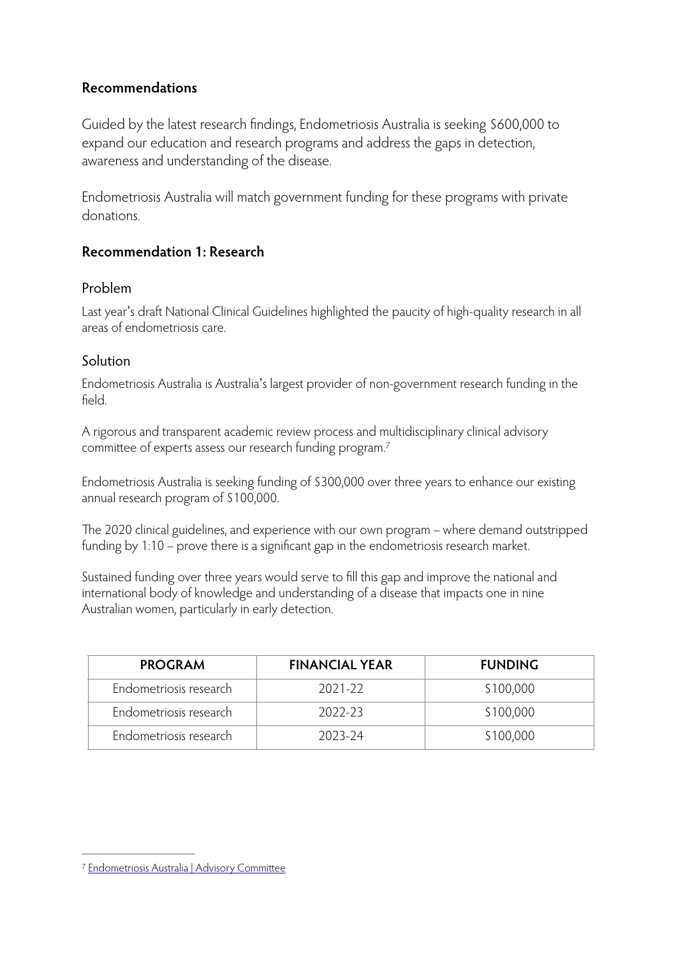## **Recommendations**

Guided by the latest research findings, Endometriosis Australia is seeking \$600,000 to expand our education and research programs and address the gaps in detection, awareness and understanding of the disease.

Endometriosis Australia will match government funding for these programs with private donations.

## **Recommendation 1: Research**

### Problem

Last year's draft National Clinical Guidelines highlighted the paucity of high-quality research in all areas of endometriosis care.

### **Solution**

Endometriosis Australia is Australia's largest provider of non-government research funding in the field.

<span id="page-5-1"></span>A rigorous and transparent academic review process and multidisciplinary clinical advisory committee of experts assess our research funding program[.7](#page-5-0)

Endometriosis Australia is seeking funding of \$300,000 over three years to enhance our existing annual research program of \$100,000.

The 2020 clinical guidelines, and experience with our own program – where demand outstripped funding by 1:10 – prove there is a significant gap in the endometriosis research market.

Sustained funding over three years would serve to fill this gap and improve the national and international body of knowledge and understanding of a disease that impacts one in nine Australian women, particularly in early detection.

| <b>PROGRAM</b>         | <b>FINANCIAL YEAR</b> | <b>FUNDING</b> |
|------------------------|-----------------------|----------------|
| Endometriosis research | 2021-22               | \$100,000      |
| Endometriosis research | 2022-23               | \$100,000      |
| Endometriosis research | 2023-24               | \$100,000      |

<span id="page-5-0"></span>[<sup>7</sup>](#page-5-1) [Endometriosis Australia | Advisory Commi](https://www.endometriosisaustralia.org/medical-advisory-committee)ttee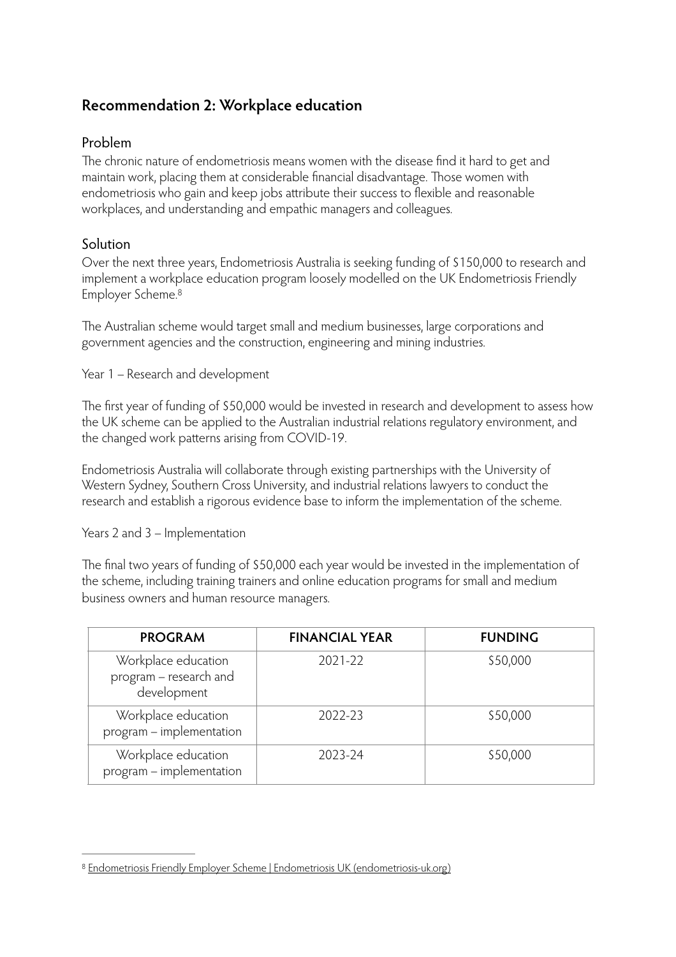## **Recommendation 2: Workplace education**

#### Problem

The chronic nature of endometriosis means women with the disease find it hard to get and maintain work, placing them at considerable financial disadvantage. Those women with endometriosis who gain and keep jobs attribute their success to flexible and reasonable workplaces, and understanding and empathic managers and colleagues.

#### Solution

Over the next three years, Endometriosis Australia is seeking funding of \$150,000 to research and implement a workplace education program loosely modelled on the UK Endometriosis Friendly Employer Scheme[.8](#page-6-0)

<span id="page-6-1"></span>The Australian scheme would target small and medium businesses, large corporations and government agencies and the construction, engineering and mining industries.

Year 1 – Research and development

The first year of funding of \$50,000 would be invested in research and development to assess how the UK scheme can be applied to the Australian industrial relations regulatory environment, and the changed work patterns arising from COVID-19.

Endometriosis Australia will collaborate through existing partnerships with the University of Western Sydney, Southern Cross University, and industrial relations lawyers to conduct the research and establish a rigorous evidence base to inform the implementation of the scheme.

Years 2 and 3 – Implementation

The final two years of funding of \$50,000 each year would be invested in the implementation of the scheme, including training trainers and online education programs for small and medium business owners and human resource managers.

| <b>PROGRAM</b>                                               | <b>FINANCIAL YEAR</b> | <b>FUNDING</b> |
|--------------------------------------------------------------|-----------------------|----------------|
| Workplace education<br>program – research and<br>development | 2021-22               | \$50,000       |
| Workplace education<br>program - implementation              | 2022-23               | \$50,000       |
| Workplace education<br>program - implementation              | 2023-24               | \$50,000       |

<span id="page-6-0"></span>[Endometriosis Friendly Employer Scheme | Endometriosis UK \(endometriosis-uk.org\)](https://endometriosis-uk.org/endometriosis-friendly-employer-scheme) [8](#page-6-1)